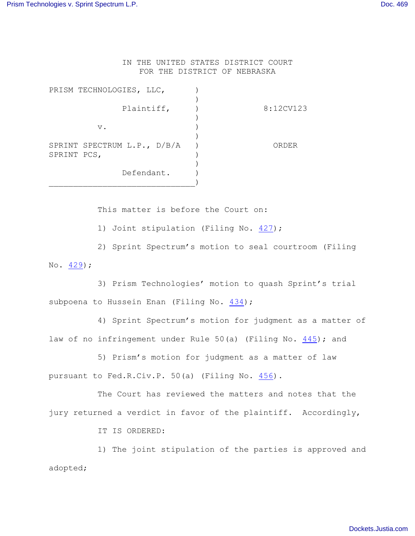IN THE UNITED STATES DISTRICT COURT FOR THE DISTRICT OF NEBRASKA

| PRISM TECHNOLOGIES, LLC,                   |           |
|--------------------------------------------|-----------|
| Plaintiff,                                 | 8:12CV123 |
| $V$ .                                      |           |
| SPRINT SPECTRUM L.P., D/B/A<br>SPRINT PCS, | ORDER     |
| Defendant.                                 |           |

This matter is before the Court on:

1) Joint stipulation (Filing No. [427](http://ecf.ned.uscourts.gov/doc1/11313294919));

2) Sprint Spectrum's motion to seal courtroom (Filing No. [429](http://ecf.ned.uscourts.gov/doc1/11313296660));

3) Prism Technologies' motion to quash Sprint's trial subpoena to Hussein Enan (Filing No. [434](http://ecf.ned.uscourts.gov/doc1/11313298576));

4) Sprint Spectrum's motion for judgment as a matter of law of no infringement under Rule 50(a) (Filing No. [445](http://ecf.ned.uscourts.gov/doc1/11313301372)); and

5) Prism's motion for judgment as a matter of law pursuant to Fed.R.Civ.P. 50(a) (Filing No. [456](http://ecf.ned.uscourts.gov/doc1/11313302540)).

The Court has reviewed the matters and notes that the jury returned a verdict in favor of the plaintiff. Accordingly,

IT IS ORDERED:

1) The joint stipulation of the parties is approved and adopted;